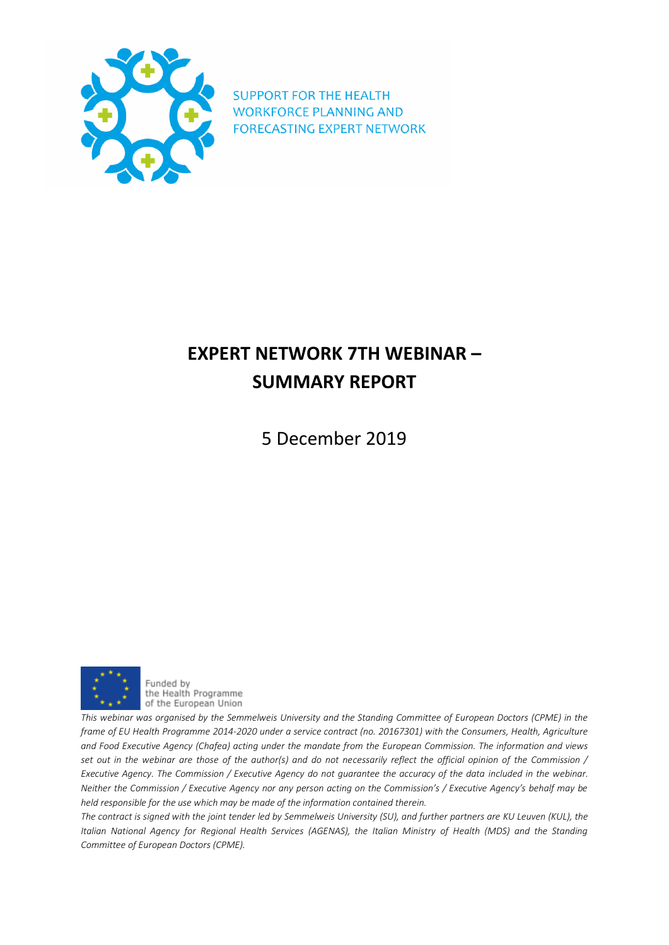

**SUPPORT FOR THE HEALTH WORKFORCE PLANNING AND FORECASTING EXPERT NETWORK** 

## **EXPERT NETWORK 7TH WEBINAR – SUMMARY REPORT**

5 December 2019



Funded by the Health Programme of the European Union

*This webinar was organised by the Semmelweis University and the Standing Committee of European Doctors (CPME) in the frame of EU Health Programme 2014-2020 under a service contract (no. 20167301) with the Consumers, Health, Agriculture and Food Executive Agency (Chafea) acting under the mandate from the European Commission. The information and views set out in the webinar are those of the author(s) and do not necessarily reflect the official opinion of the Commission / Executive Agency. The Commission / Executive Agency do not guarantee the accuracy of the data included in the webinar. Neither the Commission / Executive Agency nor any person acting on the Commission's / Executive Agency's behalf may be held responsible for the use which may be made of the information contained therein.*

*The contract is signed with the joint tender led by Semmelweis University (SU), and further partners are KU Leuven (KUL), the Italian National Agency for Regional Health Services (AGENAS), the Italian Ministry of Health (MDS) and the Standing Committee of European Doctors (CPME).*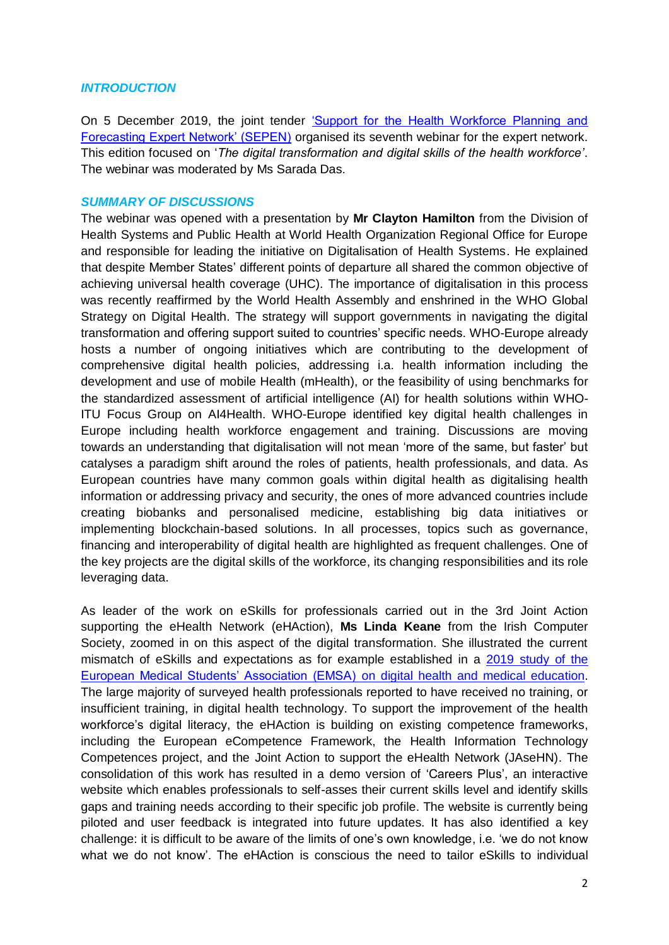## *INTRODUCTION*

On 5 December 2019, the joint tender ['Support for the Health Workforce Planning and](http://www.healthworkforce.eu/)  [Forecasting Expert Network' \(SEPEN\)](http://www.healthworkforce.eu/) organised its seventh webinar for the expert network. This edition focused on '*The digital transformation and digital skills of the health workforce'*. The webinar was moderated by Ms Sarada Das.

## *SUMMARY OF DISCUSSIONS*

The webinar was opened with a presentation by **Mr Clayton Hamilton** from the Division of Health Systems and Public Health at World Health Organization Regional Office for Europe and responsible for leading the initiative on Digitalisation of Health Systems. He explained that despite Member States' different points of departure all shared the common objective of achieving universal health coverage (UHC). The importance of digitalisation in this process was recently reaffirmed by the World Health Assembly and enshrined in the WHO Global Strategy on Digital Health. The strategy will support governments in navigating the digital transformation and offering support suited to countries' specific needs. WHO-Europe already hosts a number of ongoing initiatives which are contributing to the development of comprehensive digital health policies, addressing i.a. health information including the development and use of mobile Health (mHealth), or the feasibility of using benchmarks for the standardized assessment of artificial intelligence (AI) for health solutions within WHO-ITU Focus Group on AI4Health. WHO-Europe identified key digital health challenges in Europe including health workforce engagement and training. Discussions are moving towards an understanding that digitalisation will not mean 'more of the same, but faster' but catalyses a paradigm shift around the roles of patients, health professionals, and data. As European countries have many common goals within digital health as digitalising health information or addressing privacy and security, the ones of more advanced countries include creating biobanks and personalised medicine, establishing big data initiatives or implementing blockchain-based solutions. In all processes, topics such as governance, financing and interoperability of digital health are highlighted as frequent challenges. One of the key projects are the digital skills of the workforce, its changing responsibilities and its role leveraging data.

As leader of the work on eSkills for professionals carried out in the 3rd Joint Action supporting the eHealth Network (eHAction), **Ms Linda Keane** from the Irish Computer Society, zoomed in on this aspect of the digital transformation. She illustrated the current mismatch of eSkills and expectations as for example established in a [2019 study of the](https://emsa-europe.eu/wp-content/uploads/2019/06/ESD-Deans-Meeting-Rotterdam-2019-1.pdf)  [European Medical Students' Association \(EMSA\)](https://emsa-europe.eu/wp-content/uploads/2019/06/ESD-Deans-Meeting-Rotterdam-2019-1.pdf) on digital health and medical education. The large majority of surveyed health professionals reported to have received no training, or insufficient training, in digital health technology. To support the improvement of the health workforce's digital literacy, the eHAction is building on existing competence frameworks, including the European eCompetence Framework, the Health Information Technology Competences project, and the Joint Action to support the eHealth Network (JAseHN). The consolidation of this work has resulted in a demo version of 'Careers Plus', an interactive website which enables professionals to self-asses their current skills level and identify skills gaps and training needs according to their specific job profile. The website is currently being piloted and user feedback is integrated into future updates. It has also identified a key challenge: it is difficult to be aware of the limits of one's own knowledge, i.e. 'we do not know what we do not know'. The eHAction is conscious the need to tailor eSkills to individual